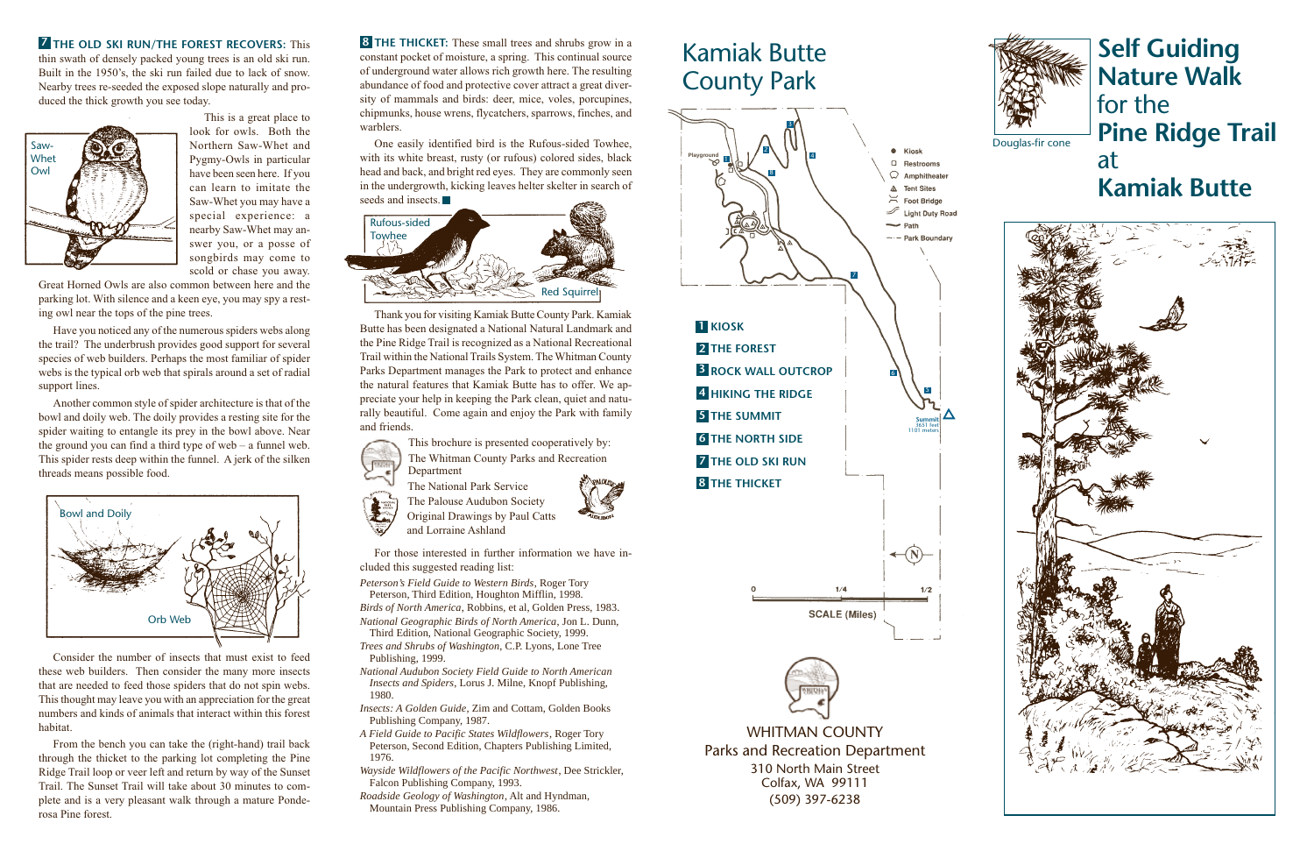**Self Guiding Nature Walk** for the **Pine Ridge Trail** at **Kamiak Butte**



## **7** THE OLD SKI RUN/THE FOREST RECOVERS: This **8**

thin swath of densely packed young trees is an old ski run. Built in the 1950's, the ski run failed due to lack of snow. Nearby trees re-seeded the exposed slope naturally and produced the thick growth you see today.

> This is a great place to look for owls. Both the Northern Saw-Whet and Pygmy-Owls in particular have been seen here. If you can learn to imitate the Saw-Whet you may have a special experience: a nearby Saw-Whet may answer you, or a posse of songbirds may come to scold or chase you away.

Great Horned Owls are also common between here and the parking lot. With silence and a keen eye, you may spy a resting owl near the tops of the pine trees.

Have you noticed any of the numerous spiders webs along the trail? The underbrush provides good support for several species of web builders. Perhaps the most familiar of spider webs is the typical orb web that spirals around a set of radial support lines.

**8 THE THICKET:** These small trees and shrubs grow in a constant pocket of moisture, a spring. This continual source of underground water allows rich growth here. The resulting abundance of food and protective cover attract a great diversity of mammals and birds: deer, mice, voles, porcupines, chipmunks, house wrens, flycatchers, sparrows, finches, and warblers.

One easily identified bird is the Rufous-sided Towhee, with its white breast, rusty (or rufous) colored sides, black head and back, and bright red eyes. They are commonly seen in the undergrowth, kicking leaves helter skelter in search of seeds and insects.

Another common style of spider architecture is that of the bowl and doily web. The doily provides a resting site for the spider waiting to entangle its prey in the bowl above. Near the ground you can find a third type of web – a funnel web. This spider rests deep within the funnel. A jerk of the silken threads means possible food.

Consider the number of insects that must exist to feed these web builders. Then consider the many more insects that are needed to feed those spiders that do not spin webs. This thought may leave you with an appreciation for the great numbers and kinds of animals that interact within this forest habitat.

From the bench you can take the (right-hand) trail back through the thicket to the parking lot completing the Pine Ridge Trail loop or veer left and return by way of the Sunset Trail. The Sunset Trail will take about 30 minutes to complete and is a very pleasant walk through a mature Ponderosa Pine forest.



Thank you for visiting Kamiak Butte County Park. Kamiak Butte has been designated a National Natural Landmark and the Pine Ridge Trail is recognized as a National Recreational Trail within the National Trails System. The Whitman County Parks Department manages the Park to protect and enhance the natural features that Kamiak Butte has to offer. We appreciate your help in keeping the Park clean, quiet and naturally beautiful. Come again and enjoy the Park with family and friends.

> This brochure is presented cooperatively by: The Whitman County Parks and Recreation Department





The Palouse Audubon Society Original Drawings by Paul Catts and Lorraine Ashland

For those interested in further information we have included this suggested reading list:

- *Peterson's Field Guide to Western Birds*, Roger Tory Peterson, Third Edition, Houghton Mifflin, 1998.
- *Birds of North America*, Robbins, et al, Golden Press, 1983. *National Geographic Birds of North America*, Jon L. Dunn,
- Third Edition, National Geographic Society, 1999.
- *Trees and Shrubs of Washington*, C.P. Lyons, Lone Tree Publishing, 1999.
- *National Audubon Society Field Guide to North American Insects and Spiders*, Lorus J. Milne, Knopf Publishing, 1980.
- *Insects: A Golden Guide*, Zim and Cottam, Golden Books Publishing Company, 1987.
- *A Field Guide to Pacific States Wildflowers*, Roger Tory Peterson, Second Edition, Chapters Publishing Limited, 1976.
- *Wayside Wildflowers of the Pacific Northwest*, Dee Strickler, Falcon Publishing Company, 1993.
- *Roadside Geology of Washington*, Alt and Hyndman, Mountain Press Publishing Company, 1986.

WHITMAN COUNTY Parks and Recreation Department 310 North Main Street Colfax, WA 99111 (509) 397-6238

## Kamiak Butte County Park